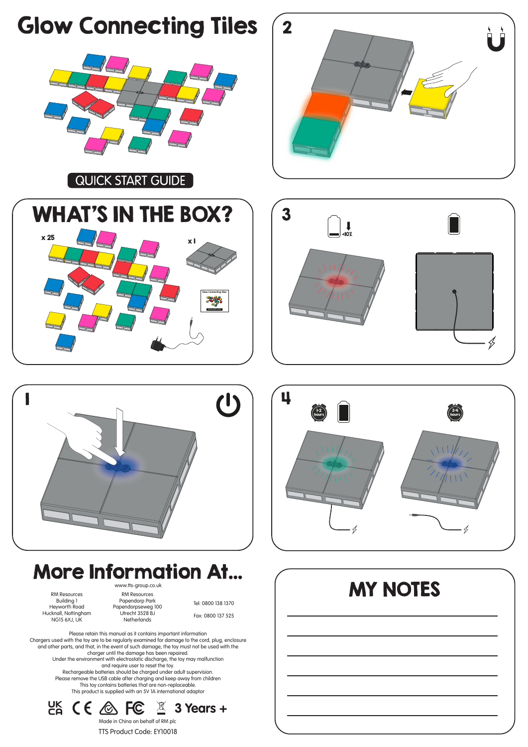

 $CK$  CE  $\otimes$  FC **3 Years +** Made in China on behalf of RM plc TTS Product Code: EY10018